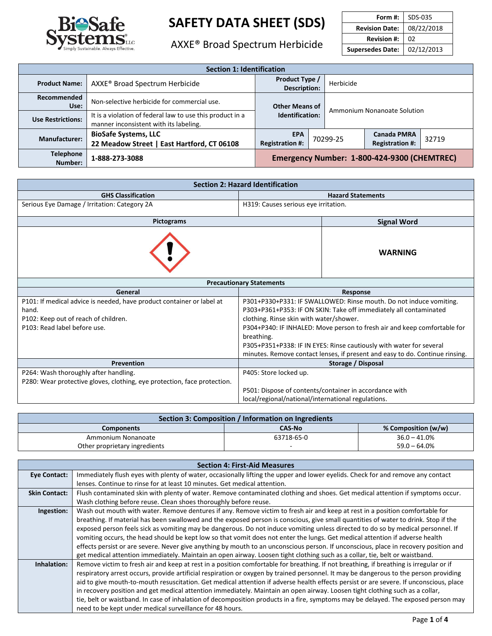

## AXXE® Broad Spectrum Herbicide **Revision #:** <sup>02</sup>

| Form #:                 | SDS-035    |
|-------------------------|------------|
| <b>Revision Date:</b>   | 08/22/2018 |
| <b>Revision #:</b>      | 02         |
| <b>Supersedes Date:</b> | 02/12/2013 |

| <b>Section 1: Identification</b> |                                                                                                     |                                             |          |                             |                                              |       |
|----------------------------------|-----------------------------------------------------------------------------------------------------|---------------------------------------------|----------|-----------------------------|----------------------------------------------|-------|
| <b>Product Name:</b>             | AXXE® Broad Spectrum Herbicide                                                                      | Product Type /<br><b>Description:</b>       |          | Herbicide                   |                                              |       |
| Recommended<br>Use:              | Non-selective herbicide for commercial use.                                                         | <b>Other Means of</b>                       |          | Ammonium Nonanoate Solution |                                              |       |
| <b>Use Restrictions:</b>         | It is a violation of federal law to use this product in a<br>manner inconsistent with its labeling. | Identification:                             |          |                             |                                              |       |
| <b>Manufacturer:</b>             | <b>BioSafe Systems, LLC</b><br>22 Meadow Street   East Hartford, CT 06108                           | <b>EPA</b><br><b>Registration #:</b>        | 70299-25 |                             | <b>Canada PMRA</b><br><b>Registration #:</b> | 32719 |
| <b>Telephone</b><br>Number:      | 1-888-273-3088                                                                                      | Emergency Number: 1-800-424-9300 (CHEMTREC) |          |                             |                                              |       |

| <b>Section 2: Hazard Identification</b>                                  |                                                                          |                                                                              |  |  |
|--------------------------------------------------------------------------|--------------------------------------------------------------------------|------------------------------------------------------------------------------|--|--|
| <b>GHS Classification</b>                                                | <b>Hazard Statements</b>                                                 |                                                                              |  |  |
| Serious Eye Damage / Irritation: Category 2A                             | H319: Causes serious eye irritation.                                     |                                                                              |  |  |
| <b>Pictograms</b>                                                        |                                                                          | <b>Signal Word</b>                                                           |  |  |
|                                                                          |                                                                          | <b>WARNING</b>                                                               |  |  |
| <b>Precautionary Statements</b>                                          |                                                                          |                                                                              |  |  |
| General                                                                  | <b>Response</b>                                                          |                                                                              |  |  |
| P101: If medical advice is needed, have product container or label at    | P301+P330+P331: IF SWALLOWED: Rinse mouth. Do not induce vomiting.       |                                                                              |  |  |
| hand.                                                                    | P303+P361+P353: IF ON SKIN: Take off immediately all contaminated        |                                                                              |  |  |
| P102: Keep out of reach of children.                                     | clothing. Rinse skin with water/shower.                                  |                                                                              |  |  |
| P103: Read label before use.                                             | P304+P340: IF INHALED: Move person to fresh air and keep comfortable for |                                                                              |  |  |
|                                                                          | breathing.                                                               |                                                                              |  |  |
|                                                                          |                                                                          | P305+P351+P338: IF IN EYES: Rinse cautiously with water for several          |  |  |
|                                                                          |                                                                          | minutes. Remove contact lenses, if present and easy to do. Continue rinsing. |  |  |
| <b>Prevention</b>                                                        | Storage / Disposal                                                       |                                                                              |  |  |
| P264: Wash thoroughly after handling.                                    | P405: Store locked up.                                                   |                                                                              |  |  |
| P280: Wear protective gloves, clothing, eye protection, face protection. |                                                                          |                                                                              |  |  |
|                                                                          |                                                                          | P501: Dispose of contents/container in accordance with                       |  |  |
|                                                                          | local/regional/national/international regulations.                       |                                                                              |  |  |

| Section 3: Composition / Information on Ingredients |            |                 |  |  |
|-----------------------------------------------------|------------|-----------------|--|--|
| % Composition (w/w)<br><b>CAS-No</b><br>Components  |            |                 |  |  |
| Ammonium Nonanoate                                  | 63718-65-0 | $36.0 - 41.0\%$ |  |  |
| Other proprietary ingredients                       |            | 59.0 – 64.0%    |  |  |

|                      | <b>Section 4: First-Aid Measures</b>                                                                                                   |
|----------------------|----------------------------------------------------------------------------------------------------------------------------------------|
| <b>Eve Contact:</b>  | Immediately flush eyes with plenty of water, occasionally lifting the upper and lower eyelids. Check for and remove any contact        |
|                      | lenses. Continue to rinse for at least 10 minutes. Get medical attention.                                                              |
| <b>Skin Contact:</b> | Flush contaminated skin with plenty of water. Remove contaminated clothing and shoes. Get medical attention if symptoms occur.         |
|                      | Wash clothing before reuse. Clean shoes thoroughly before reuse.                                                                       |
| Ingestion:           | Wash out mouth with water. Remove dentures if any. Remove victim to fresh air and keep at rest in a position comfortable for           |
|                      | breathing. If material has been swallowed and the exposed person is conscious, give small quantities of water to drink. Stop if the    |
|                      | exposed person feels sick as vomiting may be dangerous. Do not induce vomiting unless directed to do so by medical personnel. If       |
|                      | vomiting occurs, the head should be kept low so that vomit does not enter the lungs. Get medical attention if adverse health           |
|                      | effects persist or are severe. Never give anything by mouth to an unconscious person. If unconscious, place in recovery position and   |
|                      | get medical attention immediately. Maintain an open airway. Loosen tight clothing such as a collar, tie, belt or waistband.            |
| Inhalation:          | Remove victim to fresh air and keep at rest in a position comfortable for breathing. If not breathing, if breathing is irregular or if |
|                      | respiratory arrest occurs, provide artificial respiration or oxygen by trained personnel. It may be dangerous to the person providing  |
|                      | aid to give mouth-to-mouth resuscitation. Get medical attention if adverse health effects persist or are severe. If unconscious, place |
|                      | in recovery position and get medical attention immediately. Maintain an open airway. Loosen tight clothing such as a collar,           |
|                      | tie, belt or waistband. In case of inhalation of decomposition products in a fire, symptoms may be delayed. The exposed person may     |
|                      | need to be kept under medical surveillance for 48 hours.                                                                               |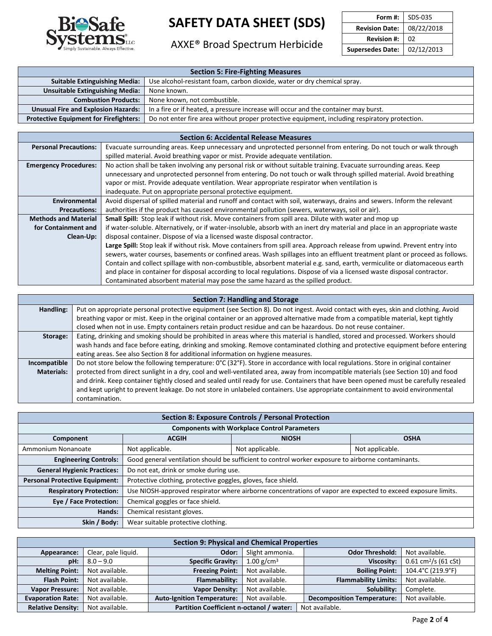

## AXXE® Broad Spectrum Herbicide **Revision #:** <sup>02</sup>

| Form #:                 | SDS-035    |
|-------------------------|------------|
| <b>Revision Date:</b>   | 08/22/2018 |
| <b>Revision #:</b>      | 02         |
| <b>Supersedes Date:</b> | 02/12/2013 |

| <b>Section 5: Fire-Fighting Measures</b>              |                                                                                               |  |  |  |
|-------------------------------------------------------|-----------------------------------------------------------------------------------------------|--|--|--|
| <b>Suitable Extinguishing Media:</b>                  | Use alcohol-resistant foam, carbon dioxide, water or dry chemical spray.                      |  |  |  |
| <b>Unsuitable Extinguishing Media:</b><br>None known. |                                                                                               |  |  |  |
| <b>Combustion Products:</b>                           | None known, not combustible.                                                                  |  |  |  |
| <b>Unusual Fire and Explosion Hazards:</b>            | In a fire or if heated, a pressure increase will occur and the container may burst.           |  |  |  |
| <b>Protective Equipment for Firefighters:</b>         | Do not enter fire area without proper protective equipment, including respiratory protection. |  |  |  |

| <b>Section 6: Accidental Release Measures</b> |                                                                                                                             |  |  |  |  |
|-----------------------------------------------|-----------------------------------------------------------------------------------------------------------------------------|--|--|--|--|
| <b>Personal Precautions:</b>                  | Evacuate surrounding areas. Keep unnecessary and unprotected personnel from entering. Do not touch or walk through          |  |  |  |  |
|                                               | spilled material. Avoid breathing vapor or mist. Provide adequate ventilation.                                              |  |  |  |  |
| <b>Emergency Procedures:</b>                  | No action shall be taken involving any personal risk or without suitable training. Evacuate surrounding areas. Keep         |  |  |  |  |
|                                               | unnecessary and unprotected personnel from entering. Do not touch or walk through spilled material. Avoid breathing         |  |  |  |  |
|                                               | vapor or mist. Provide adequate ventilation. Wear appropriate respirator when ventilation is                                |  |  |  |  |
|                                               | inadequate. Put on appropriate personal protective equipment.                                                               |  |  |  |  |
| Environmental                                 | Avoid dispersal of spilled material and runoff and contact with soil, waterways, drains and sewers. Inform the relevant     |  |  |  |  |
| <b>Precautions:</b>                           | authorities if the product has caused environmental pollution (sewers, waterways, soil or air).                             |  |  |  |  |
| <b>Methods and Material</b>                   | Small Spill: Stop leak if without risk. Move containers from spill area. Dilute with water and mop up                       |  |  |  |  |
| for Containment and                           | if water-soluble. Alternatively, or if water-insoluble, absorb with an inert dry material and place in an appropriate waste |  |  |  |  |
| Clean-Up:                                     | disposal container. Dispose of via a licensed waste disposal contractor.                                                    |  |  |  |  |
|                                               | Large Spill: Stop leak if without risk. Move containers from spill area. Approach release from upwind. Prevent entry into   |  |  |  |  |
|                                               | sewers, water courses, basements or confined areas. Wash spillages into an effluent treatment plant or proceed as follows.  |  |  |  |  |
|                                               | Contain and collect spillage with non-combustible, absorbent material e.g. sand, earth, vermiculite or diatomaceous earth   |  |  |  |  |
|                                               | and place in container for disposal according to local regulations. Dispose of via a licensed waste disposal contractor.    |  |  |  |  |
|                                               | Contaminated absorbent material may pose the same hazard as the spilled product.                                            |  |  |  |  |

|  |  |  | <b>Section 7: Handling and Storage</b> |
|--|--|--|----------------------------------------|
|--|--|--|----------------------------------------|

| Handling:         | Put on appropriate personal protective equipment (see Section 8). Do not ingest. Avoid contact with eyes, skin and clothing. Avoid   |
|-------------------|--------------------------------------------------------------------------------------------------------------------------------------|
|                   | breathing vapor or mist. Keep in the original container or an approved alternative made from a compatible material, kept tightly     |
|                   | closed when not in use. Empty containers retain product residue and can be hazardous. Do not reuse container.                        |
| Storage:          | Eating, drinking and smoking should be prohibited in areas where this material is handled, stored and processed. Workers should      |
|                   | wash hands and face before eating, drinking and smoking. Remove contaminated clothing and protective equipment before entering       |
|                   | eating areas. See also Section 8 for additional information on hygiene measures.                                                     |
| Incompatible      | Do not store below the following temperature: 0°C (32°F). Store in accordance with local regulations. Store in original container    |
| <b>Materials:</b> | protected from direct sunlight in a dry, cool and well-ventilated area, away from incompatible materials (see Section 10) and food   |
|                   | and drink. Keep container tightly closed and sealed until ready for use. Containers that have been opened must be carefully resealed |
|                   | and kept upright to prevent leakage. Do not store in unlabeled containers. Use appropriate containment to avoid environmental        |
|                   | contamination.                                                                                                                       |

| Section 8: Exposure Controls / Personal Protection       |                                                                                                              |                 |                 |  |  |
|----------------------------------------------------------|--------------------------------------------------------------------------------------------------------------|-----------------|-----------------|--|--|
|                                                          | <b>Components with Workplace Control Parameters</b>                                                          |                 |                 |  |  |
| <b>ACGIH</b><br><b>NIOSH</b><br><b>OSHA</b><br>Component |                                                                                                              |                 |                 |  |  |
| Ammonium Nonanoate                                       | Not applicable.                                                                                              | Not applicable. | Not applicable. |  |  |
| <b>Engineering Controls:</b>                             | Good general ventilation should be sufficient to control worker exposure to airborne contaminants.           |                 |                 |  |  |
| <b>General Hygienic Practices:</b>                       | Do not eat, drink or smoke during use.                                                                       |                 |                 |  |  |
| <b>Personal Protective Equipment:</b>                    | Protective clothing, protective goggles, gloves, face shield.                                                |                 |                 |  |  |
| <b>Respiratory Protection:</b>                           | Use NIOSH-approved respirator where airborne concentrations of vapor are expected to exceed exposure limits. |                 |                 |  |  |
| Eye / Face Protection:                                   | Chemical goggles or face shield.                                                                             |                 |                 |  |  |
| Hands:                                                   | Chemical resistant gloves.                                                                                   |                 |                 |  |  |
| Skin / Body:                                             | Wear suitable protective clothing.                                                                           |                 |                 |  |  |

| <b>Section 9: Physical and Chemical Properties</b> |                     |                                                            |                 |                                   |                                    |  |
|----------------------------------------------------|---------------------|------------------------------------------------------------|-----------------|-----------------------------------|------------------------------------|--|
| Appearance:                                        | Clear, pale liquid. | Odor:                                                      | Slight ammonia. | <b>Odor Threshold:</b>            | Not available.                     |  |
| pH:                                                | $8.0 - 9.0$         | <b>Specific Gravity:</b>                                   | 1.00 $g/cm^3$   | Viscosity:                        | $0.61$ cm <sup>2</sup> /s (61 cSt) |  |
| <b>Melting Point:</b>                              | Not available.      | <b>Freezing Point:</b>                                     | Not available.  | <b>Boiling Point:</b>             | 104.4°C (219.9°F)                  |  |
| <b>Flash Point:</b>                                | Not available.      | Flammability:                                              | Not available.  | <b>Flammability Limits:</b>       | Not available.                     |  |
| <b>Vapor Pressure:</b>                             | Not available.      | <b>Vapor Density:</b>                                      | Not available.  | Solubility:                       | Complete.                          |  |
| <b>Evaporation Rate:</b>                           | Not available.      | <b>Auto-Ignition Temperature:</b>                          | Not available.  | <b>Decomposition Temperature:</b> | Not available.                     |  |
| <b>Relative Density:</b>                           | Not available.      | Partition Coefficient n-octanol / water:<br>Not available. |                 |                                   |                                    |  |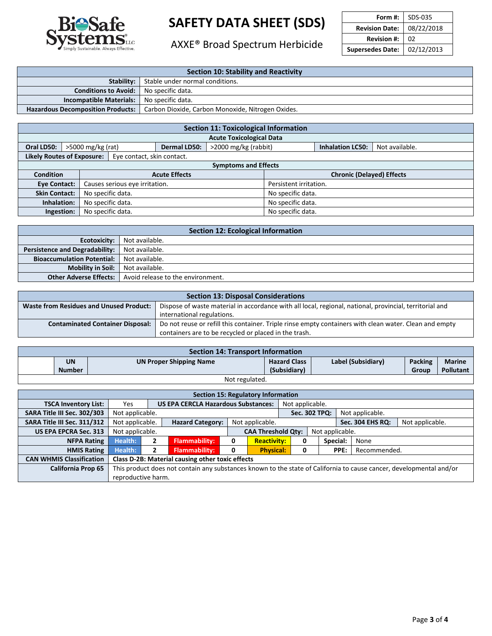

## AXXE® Broad Spectrum Herbicide **Revision #:** <sup>02</sup>

|                         | Form #: $\vert$ SDS-035 |
|-------------------------|-------------------------|
| <b>Revision Date:</b>   | 08/22/2018              |
| <b>Revision #:</b>      | 02                      |
| <b>Supersedes Date:</b> | 02/12/2013              |

| Section 10: Stability and Reactivity             |                                                     |  |  |  |
|--------------------------------------------------|-----------------------------------------------------|--|--|--|
|                                                  | <b>Stability:</b>   Stable under normal conditions. |  |  |  |
| <b>Conditions to Avoid:</b> No specific data.    |                                                     |  |  |  |
| <b>Incompatible Materials:</b> No specific data. |                                                     |  |  |  |
| <b>Hazardous Decomposition Products:</b>         | Carbon Dioxide, Carbon Monoxide, Nitrogen Oxides.   |  |  |  |

| <b>Section 11: Toxicological Information</b> |                                 |                                |                   |                        |                                  |                         |                |
|----------------------------------------------|---------------------------------|--------------------------------|-------------------|------------------------|----------------------------------|-------------------------|----------------|
| <b>Acute Toxicological Data</b>              |                                 |                                |                   |                        |                                  |                         |                |
| Oral LD50:                                   | $>5000$ mg/kg (rat)             |                                | Dermal LD50:      | >2000 mg/kg (rabbit)   |                                  | <b>Inhalation LC50:</b> | Not available. |
| <b>Likely Routes of Exposure:</b>            |                                 | Eye contact, skin contact.     |                   |                        |                                  |                         |                |
| <b>Symptoms and Effects</b>                  |                                 |                                |                   |                        |                                  |                         |                |
| <b>Condition</b>                             |                                 | <b>Acute Effects</b>           |                   |                        | <b>Chronic (Delayed) Effects</b> |                         |                |
| <b>Eye Contact:</b>                          |                                 | Causes serious eye irritation. |                   | Persistent irritation. |                                  |                         |                |
| <b>Skin Contact:</b>                         | No specific data.               |                                | No specific data. |                        |                                  |                         |                |
| Inhalation:                                  | No specific data.               |                                |                   | No specific data.      |                                  |                         |                |
|                                              | No specific data.<br>Ingestion: |                                |                   | No specific data.      |                                  |                         |                |

| <b>Section 12: Ecological Information</b> |                                   |  |  |  |
|-------------------------------------------|-----------------------------------|--|--|--|
| Ecotoxicity:                              | Not available.                    |  |  |  |
| <b>Persistence and Degradability:</b>     | Not available.                    |  |  |  |
| <b>Bioaccumulation Potential:</b>         | Not available.                    |  |  |  |
| <b>Mobility in Soil:</b>                  | Not available.                    |  |  |  |
| <b>Other Adverse Effects:</b>             | Avoid release to the environment. |  |  |  |

| <b>Section 13: Disposal Considerations</b>                                                                                                                |                                                                                                        |  |  |  |  |
|-----------------------------------------------------------------------------------------------------------------------------------------------------------|--------------------------------------------------------------------------------------------------------|--|--|--|--|
| <b>Waste from Residues and Unused Product:</b><br>Dispose of waste material in accordance with all local, regional, national, provincial, territorial and |                                                                                                        |  |  |  |  |
|                                                                                                                                                           | international regulations.                                                                             |  |  |  |  |
| <b>Contaminated Container Disposal:</b>                                                                                                                   | Do not reuse or refill this container. Triple rinse empty containers with clean water. Clean and empty |  |  |  |  |
|                                                                                                                                                           | containers are to be recycled or placed in the trash.                                                  |  |  |  |  |

| <b>Section 14: Transport Information</b> |                            |                                |                                     |                    |                         |                            |
|------------------------------------------|----------------------------|--------------------------------|-------------------------------------|--------------------|-------------------------|----------------------------|
|                                          | <b>UN</b><br><b>Number</b> | <b>UN Proper Shipping Name</b> | <b>Hazard Class</b><br>(Subsidiary) | Label (Subsidiary) | <b>Packing</b><br>Group | <b>Marine</b><br>Pollutant |
|                                          |                            |                                |                                     |                    |                         |                            |
| Not regulated.                           |                            |                                |                                     |                    |                         |                            |

| <b>Section 15: Regulatory Information</b>                                           |                                                                                                                     |                    |                      |                 |                                               |                                  |  |          |                         |                 |  |
|-------------------------------------------------------------------------------------|---------------------------------------------------------------------------------------------------------------------|--------------------|----------------------|-----------------|-----------------------------------------------|----------------------------------|--|----------|-------------------------|-----------------|--|
| <b>TSCA Inventory List:</b>                                                         | <b>US EPA CERCLA Hazardous Substances:</b><br>Yes                                                                   |                    |                      | Not applicable. |                                               |                                  |  |          |                         |                 |  |
| SARA Title III Sec. 302/303                                                         | Not applicable.                                                                                                     |                    |                      |                 |                                               | Not applicable.<br>Sec. 302 TPQ: |  |          |                         |                 |  |
| SARA Title III Sec. 311/312                                                         | Not applicable.<br><b>Hazard Category:</b><br>Not applicable.                                                       |                    |                      |                 |                                               |                                  |  |          | <b>Sec. 304 EHS RQ:</b> | Not applicable. |  |
| <b>US EPA EPCRA Sec. 313</b>                                                        | Not applicable.                                                                                                     |                    |                      |                 | <b>CAA Threshold Qty:</b><br>Not applicable.  |                                  |  |          |                         |                 |  |
| <b>NFPA Rating</b>                                                                  | Health:                                                                                                             | 2                  | <b>Flammability:</b> | 0               | <b>Reactivity:</b><br>0                       |                                  |  | Special: | None                    |                 |  |
| <b>HMIS Rating</b>                                                                  | Health:                                                                                                             | $\overline{2}$     | <b>Flammability:</b> | 0               | <b>Physical:</b><br>PPE:<br>Recommended.<br>0 |                                  |  |          |                         |                 |  |
| <b>CAN WHMIS Classification</b><br>Class D-2B: Material causing other toxic effects |                                                                                                                     |                    |                      |                 |                                               |                                  |  |          |                         |                 |  |
| California Prop 65                                                                  | This product does not contain any substances known to the state of California to cause cancer, developmental and/or |                    |                      |                 |                                               |                                  |  |          |                         |                 |  |
|                                                                                     |                                                                                                                     | reproductive harm. |                      |                 |                                               |                                  |  |          |                         |                 |  |